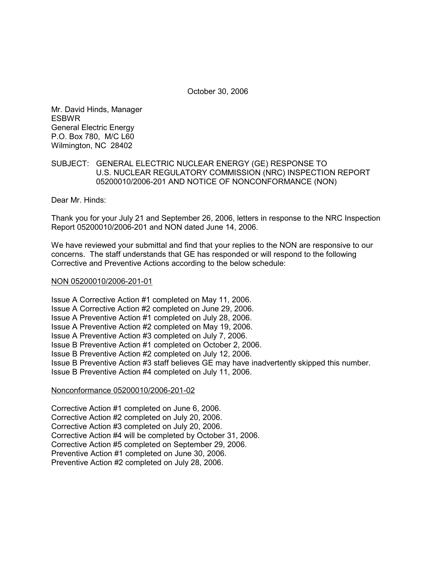October 30, 2006

Mr. David Hinds, Manager ESBWR General Electric Energy P.O. Box 780, M/C L60 Wilmington, NC 28402

## SUBJECT: GENERAL ELECTRIC NUCLEAR ENERGY (GE) RESPONSE TO U.S. NUCLEAR REGULATORY COMMISSION (NRC) INSPECTION REPORT 05200010/2006-201 AND NOTICE OF NONCONFORMANCE (NON)

Dear Mr. Hinds:

Thank you for your July 21 and September 26, 2006, letters in response to the NRC Inspection Report 05200010/2006-201 and NON dated June 14, 2006.

We have reviewed your submittal and find that your replies to the NON are responsive to our concerns. The staff understands that GE has responded or will respond to the following Corrective and Preventive Actions according to the below schedule:

## NON 05200010/2006-201-01

Issue A Corrective Action #1 completed on May 11, 2006. Issue A Corrective Action #2 completed on June 29, 2006. Issue A Preventive Action #1 completed on July 28, 2006. Issue A Preventive Action #2 completed on May 19, 2006. Issue A Preventive Action #3 completed on July 7, 2006. Issue B Preventive Action #1 completed on October 2, 2006. Issue B Preventive Action #2 completed on July 12, 2006. Issue B Preventive Action #3 staff believes GE may have inadvertently skipped this number. Issue B Preventive Action #4 completed on July 11, 2006.

# Nonconformance 05200010/2006-201-02

Corrective Action #1 completed on June 6, 2006. Corrective Action #2 completed on July 20, 2006. Corrective Action #3 completed on July 20, 2006. Corrective Action #4 will be completed by October 31, 2006. Corrective Action #5 completed on September 29, 2006. Preventive Action #1 completed on June 30, 2006. Preventive Action #2 completed on July 28, 2006.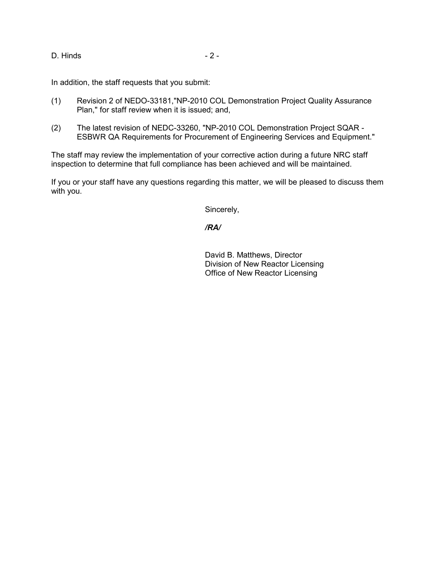D. Hinds - 2 -

In addition, the staff requests that you submit:

- (1) Revision 2 of NEDO-33181,"NP-2010 COL Demonstration Project Quality Assurance Plan," for staff review when it is issued; and,
- (2) The latest revision of NEDC-33260, "NP-2010 COL Demonstration Project SQAR ESBWR QA Requirements for Procurement of Engineering Services and Equipment."

The staff may review the implementation of your corrective action during a future NRC staff inspection to determine that full compliance has been achieved and will be maintained.

If you or your staff have any questions regarding this matter, we will be pleased to discuss them with you.

Sincerely,

# */RA/*

David B. Matthews, Director Division of New Reactor Licensing Office of New Reactor Licensing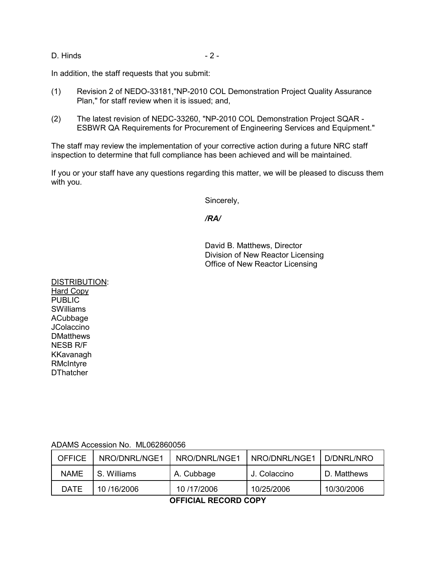D. Hinds - 2 -

In addition, the staff requests that you submit:

- (1) Revision 2 of NEDO-33181,"NP-2010 COL Demonstration Project Quality Assurance Plan," for staff review when it is issued; and,
- (2) The latest revision of NEDC-33260, "NP-2010 COL Demonstration Project SQAR ESBWR QA Requirements for Procurement of Engineering Services and Equipment."

The staff may review the implementation of your corrective action during a future NRC staff inspection to determine that full compliance has been achieved and will be maintained.

If you or your staff have any questions regarding this matter, we will be pleased to discuss them with you.

Sincerely,

## */RA/*

David B. Matthews, Director Division of New Reactor Licensing Office of New Reactor Licensing

DISTRIBUTION: Hard Copy **PUBLIC** SWilliams ACubbage JColaccino **DMatthews** NESB R/F KKavanagh RMcIntyre **DThatcher** 

# ADAMS Accession No. ML062860056

| OFFICE      | NRO/DNRL/NGE1 | NRO/DNRL/NGE1 | NRO/DNRL/NGE1 | D/DNRL/NRO  |
|-------------|---------------|---------------|---------------|-------------|
| <b>NAME</b> | S. Williams   | A. Cubbage    | J. Colaccino  | D. Matthews |
| <b>DATE</b> | 10/16/2006    | 10/17/2006    | 10/25/2006    | 10/30/2006  |

**OFFICIAL RECORD COPY**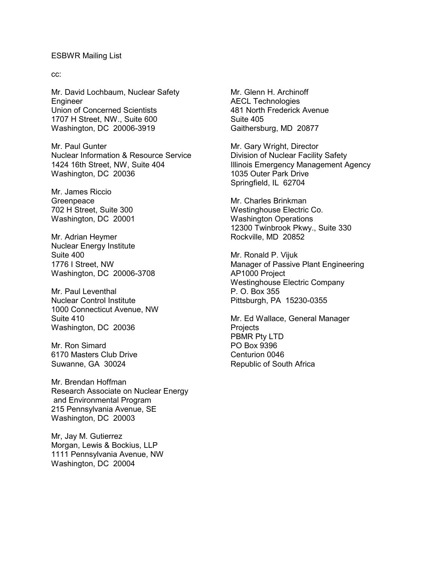#### ESBWR Mailing List

cc:

Mr. David Lochbaum, Nuclear Safety Engineer Union of Concerned Scientists 1707 H Street, NW., Suite 600 Washington, DC 20006-3919

Mr. Paul Gunter Nuclear Information & Resource Service 1424 16th Street, NW, Suite 404 Washington, DC 20036

Mr. James Riccio **Greenpeace** 702 H Street, Suite 300 Washington, DC 20001

Mr. Adrian Heymer Nuclear Energy Institute Suite 400 1776 I Street, NW Washington, DC 20006-3708

Mr. Paul Leventhal Nuclear Control Institute 1000 Connecticut Avenue, NW Suite 410 Washington, DC 20036

Mr. Ron Simard 6170 Masters Club Drive Suwanne, GA 30024

Mr. Brendan Hoffman Research Associate on Nuclear Energy and Environmental Program 215 Pennsylvania Avenue, SE Washington, DC 20003

Mr, Jay M. Gutierrez Morgan, Lewis & Bockius, LLP 1111 Pennsylvania Avenue, NW Washington, DC 20004

Mr. Glenn H. Archinoff AECL Technologies 481 North Frederick Avenue Suite 405 Gaithersburg, MD 20877

Mr. Gary Wright, Director Division of Nuclear Facility Safety Illinois Emergency Management Agency 1035 Outer Park Drive Springfield, IL 62704

Mr. Charles Brinkman Westinghouse Electric Co. Washington Operations 12300 Twinbrook Pkwy., Suite 330 Rockville, MD 20852

Mr. Ronald P. Vijuk Manager of Passive Plant Engineering AP1000 Project Westinghouse Electric Company P. O. Box 355 Pittsburgh, PA 15230-0355

Mr. Ed Wallace, General Manager **Projects** PBMR Pty LTD PO Box 9396 Centurion 0046 Republic of South Africa